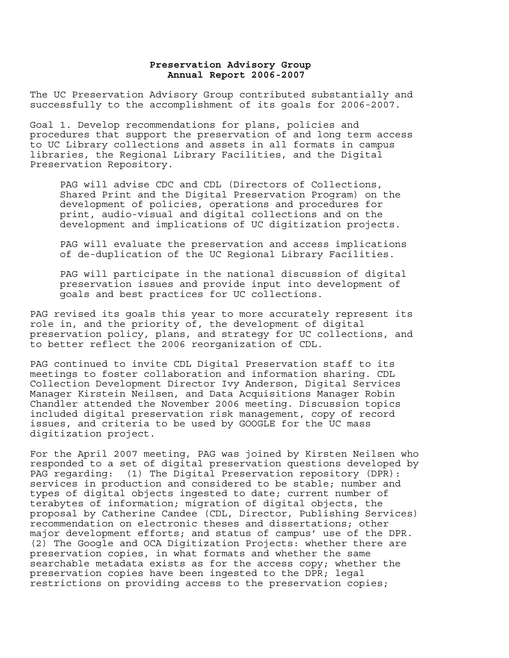## **Preservation Advisory Group Annual Report 2006-2007**

The UC Preservation Advisory Group contributed substantially and successfully to the accomplishment of its goals for 2006-2007.

Goal 1. Develop recommendations for plans, policies and procedures that support the preservation of and long term access to UC Library collections and assets in all formats in campus libraries, the Regional Library Facilities, and the Digital Preservation Repository.

PAG will advise CDC and CDL (Directors of Collections, Shared Print and the Digital Preservation Program) on the development of policies, operations and procedures for print, audio-visual and digital collections and on the development and implications of UC digitization projects.

PAG will evaluate the preservation and access implications of de-duplication of the UC Regional Library Facilities.

PAG will participate in the national discussion of digital preservation issues and provide input into development of goals and best practices for UC collections.

PAG revised its goals this year to more accurately represent its role in, and the priority of, the development of digital preservation policy, plans, and strategy for UC collections, and to better reflect the 2006 reorganization of CDL.

PAG continued to invite CDL Digital Preservation staff to its meetings to foster collaboration and information sharing. CDL Collection Development Director Ivy Anderson, Digital Services Manager Kirstein Neilsen, and Data Acquisitions Manager Robin Chandler attended the November 2006 meeting. Discussion topics included digital preservation risk management, copy of record issues, and criteria to be used by GOOGLE for the UC mass digitization project.

For the April 2007 meeting, PAG was joined by Kirsten Neilsen who responded to a set of digital preservation questions developed by PAG regarding: (1) The Digital Preservation repository (DPR): services in production and considered to be stable; number and types of digital objects ingested to date; current number of terabytes of information; migration of digital objects, the proposal by Catherine Candee (CDL, Director, Publishing Services) recommendation on electronic theses and dissertations; other major development efforts; and status of campus' use of the DPR. (2) The Google and OCA Digitization Projects: whether there are preservation copies, in what formats and whether the same searchable metadata exists as for the access copy; whether the preservation copies have been ingested to the DPR; legal restrictions on providing access to the preservation copies;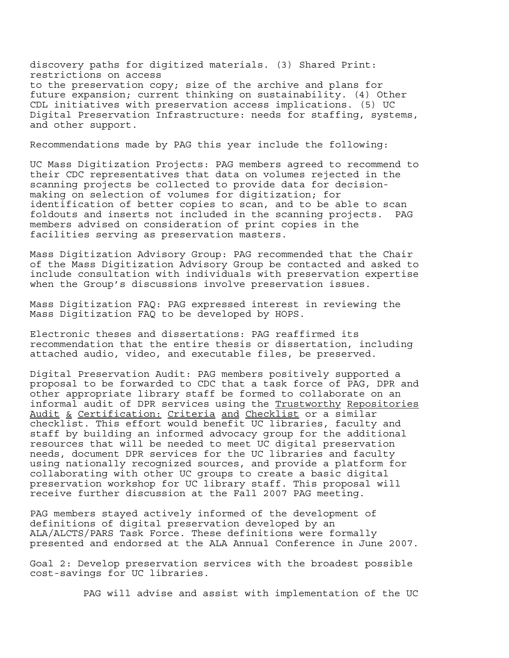discovery paths for digitized materials. (3) Shared Print: restrictions on access to the preservation copy; size of the archive and plans for future expansion; current thinking on sustainability. (4) Other CDL initiatives with preservation access implications. (5) UC Digital Preservation Infrastructure: needs for staffing, systems, and other support.

Recommendations made by PAG this year include the following:

UC Mass Digitization Projects: PAG members agreed to recommend to their CDC representatives that data on volumes rejected in the scanning projects be collected to provide data for decisionmaking on selection of volumes for digitization; for identification of better copies to scan, and to be able to scan foldouts and inserts not included in the scanning projects. PAG members advised on consideration of print copies in the facilities serving as preservation masters.

Mass Digitization Advisory Group: PAG recommended that the Chair of the Mass Digitization Advisory Group be contacted and asked to include consultation with individuals with preservation expertise when the Group's discussions involve preservation issues.

Mass Digitization FAQ: PAG expressed interest in reviewing the Mass Digitization FAQ to be developed by HOPS.

Electronic theses and dissertations: PAG reaffirmed its recommendation that the entire thesis or dissertation, including attached audio, video, and executable files, be preserved.

Digital Preservation Audit: PAG members positively supported a proposal to be forwarded to CDC that a task force of PAG, DPR and other appropriate library staff be formed to collaborate on an informal audit of DPR services using the Trustworthy Repositories Audit & Certification: Criteria and Checklist or a similar checklist. This effort would benefit UC libraries, faculty and staff by building an informed advocacy group for the additional resources that will be needed to meet UC digital preservation needs, document DPR services for the UC libraries and faculty using nationally recognized sources, and provide a platform for collaborating with other UC groups to create a basic digital preservation workshop for UC library staff. This proposal will receive further discussion at the Fall 2007 PAG meeting.

PAG members stayed actively informed of the development of definitions of digital preservation developed by an ALA/ALCTS/PARS Task Force. These definitions were formally presented and endorsed at the ALA Annual Conference in June 2007.

Goal 2: Develop preservation services with the broadest possible cost-savings for UC libraries.

PAG will advise and assist with implementation of the UC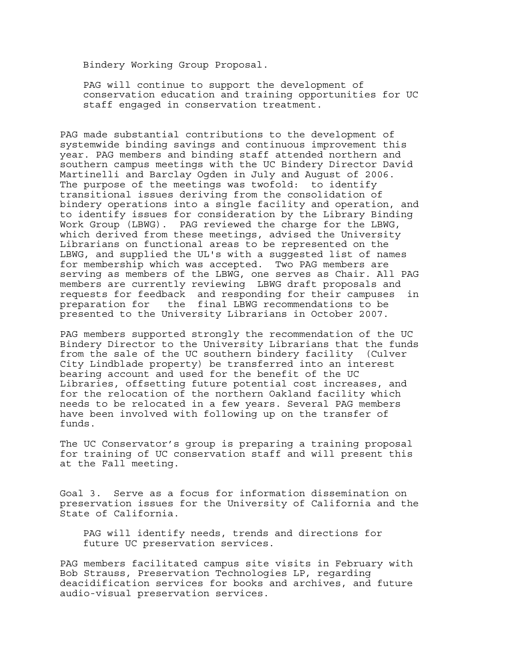Bindery Working Group Proposal.

PAG will continue to support the development of conservation education and training opportunities for UC staff engaged in conservation treatment.

PAG made substantial contributions to the development of systemwide binding savings and continuous improvement this year. PAG members and binding staff attended northern and southern campus meetings with the UC Bindery Director David Martinelli and Barclay Ogden in July and August of 2006. The purpose of the meetings was twofold: to identify transitional issues deriving from the consolidation of bindery operations into a single facility and operation, and to identify issues for consideration by the Library Binding Work Group (LBWG). PAG reviewed the charge for the LBWG, which derived from these meetings, advised the University Librarians on functional areas to be represented on the LBWG, and supplied the UL's with a suggested list of names for membership which was accepted. Two PAG members are serving as members of the LBWG, one serves as Chair. All PAG members are currently reviewing LBWG draft proposals and requests for feedback and responding for their campuses in preparation for the final LBWG recommendations to be presented to the University Librarians in October 2007.

PAG members supported strongly the recommendation of the UC Bindery Director to the University Librarians that the funds from the sale of the UC southern bindery facility (Culver City Lindblade property) be transferred into an interest bearing account and used for the benefit of the UC Libraries, offsetting future potential cost increases, and for the relocation of the northern Oakland facility which needs to be relocated in a few years. Several PAG members have been involved with following up on the transfer of funds.

The UC Conservator's group is preparing a training proposal for training of UC conservation staff and will present this at the Fall meeting.

Goal 3. Serve as a focus for information dissemination on preservation issues for the University of California and the State of California.

PAG will identify needs, trends and directions for future UC preservation services.

PAG members facilitated campus site visits in February with Bob Strauss, Preservation Technologies LP, regarding deacidification services for books and archives, and future audio-visual preservation services.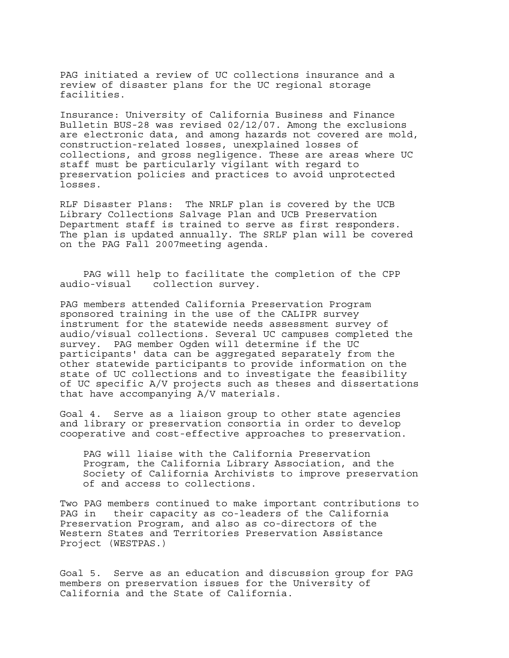PAG initiated a review of UC collections insurance and a review of disaster plans for the UC regional storage facilities.

Insurance: University of California Business and Finance Bulletin BUS-28 was revised 02/12/07. Among the exclusions are electronic data, and among hazards not covered are mold, construction-related losses, unexplained losses of collections, and gross negligence. These are areas where UC staff must be particularly vigilant with regard to preservation policies and practices to avoid unprotected losses.

RLF Disaster Plans: The NRLF plan is covered by the UCB Library Collections Salvage Plan and UCB Preservation Department staff is trained to serve as first responders. The plan is updated annually. The SRLF plan will be covered on the PAG Fall 2007meeting agenda.

 PAG will help to facilitate the completion of the CPP audio-visual collection survey.

PAG members attended California Preservation Program sponsored training in the use of the CALIPR survey instrument for the statewide needs assessment survey of audio/visual collections. Several UC campuses completed the survey. PAG member Ogden will determine if the UC participants' data can be aggregated separately from the other statewide participants to provide information on the state of UC collections and to investigate the feasibility of UC specific A/V projects such as theses and dissertations that have accompanying A/V materials.

Goal 4. Serve as a liaison group to other state agencies and library or preservation consortia in order to develop cooperative and cost-effective approaches to preservation.

PAG will liaise with the California Preservation Program, the California Library Association, and the Society of California Archivists to improve preservation of and access to collections.

Two PAG members continued to make important contributions to PAG in their capacity as co-leaders of the California Preservation Program, and also as co-directors of the Western States and Territories Preservation Assistance Project (WESTPAS.)

Goal 5. Serve as an education and discussion group for PAG members on preservation issues for the University of California and the State of California.